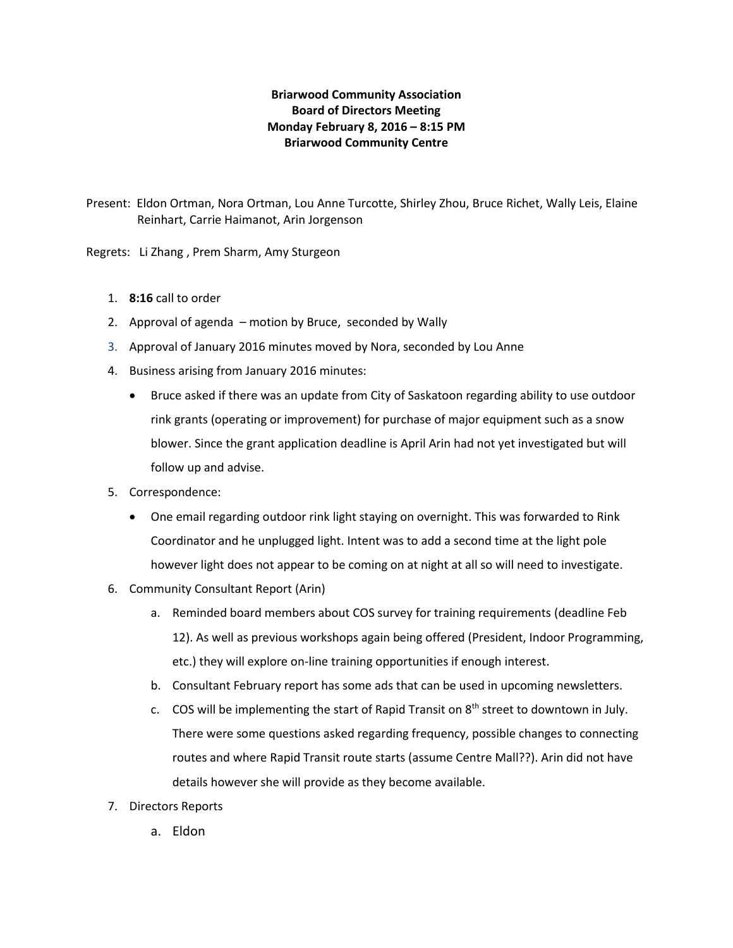# **Briarwood Community Association Board of Directors Meeting Monday February 8, 2016 – 8:15 PM Briarwood Community Centre**

Present: Eldon Ortman, Nora Ortman, Lou Anne Turcotte, Shirley Zhou, Bruce Richet, Wally Leis, Elaine Reinhart, Carrie Haimanot, Arin Jorgenson

Regrets: Li Zhang , Prem Sharm, Amy Sturgeon

- 1. **8:16** call to order
- 2. Approval of agenda motion by Bruce, seconded by Wally
- 3. Approval of January 2016 minutes moved by Nora, seconded by Lou Anne
- 4. Business arising from January 2016 minutes:
	- Bruce asked if there was an update from City of Saskatoon regarding ability to use outdoor rink grants (operating or improvement) for purchase of major equipment such as a snow blower. Since the grant application deadline is April Arin had not yet investigated but will follow up and advise.
- 5. Correspondence:
	- One email regarding outdoor rink light staying on overnight. This was forwarded to Rink Coordinator and he unplugged light. Intent was to add a second time at the light pole however light does not appear to be coming on at night at all so will need to investigate.
- 6. Community Consultant Report (Arin)
	- a. Reminded board members about COS survey for training requirements (deadline Feb 12). As well as previous workshops again being offered (President, Indoor Programming, etc.) they will explore on-line training opportunities if enough interest.
	- b. Consultant February report has some ads that can be used in upcoming newsletters.
	- c. COS will be implementing the start of Rapid Transit on  $8<sup>th</sup>$  street to downtown in July. There were some questions asked regarding frequency, possible changes to connecting routes and where Rapid Transit route starts (assume Centre Mall??). Arin did not have details however she will provide as they become available.
- 7. Directors Reports
	- a. Eldon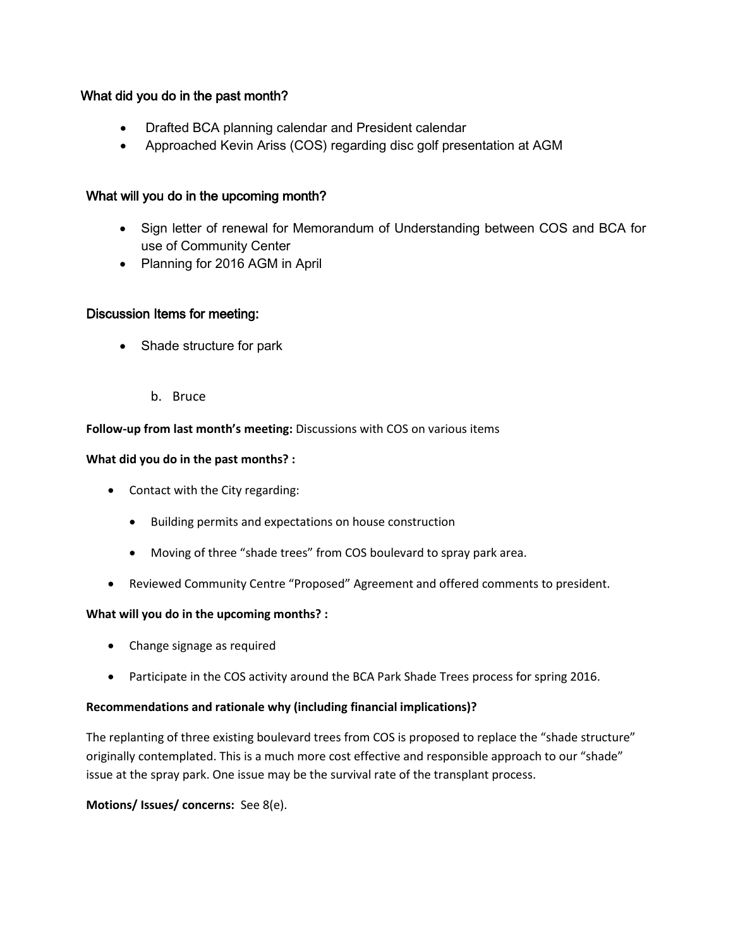# What did you do in the past month?

- Drafted BCA planning calendar and President calendar
- Approached Kevin Ariss (COS) regarding disc golf presentation at AGM

# What will you do in the upcoming month?

- Sign letter of renewal for Memorandum of Understanding between COS and BCA for use of Community Center
- Planning for 2016 AGM in April

# Discussion Items for meeting:

- Shade structure for park
	- b. Bruce

# **Follow-up from last month's meeting:** Discussions with COS on various items

#### **What did you do in the past months? :**

- Contact with the City regarding:
	- Building permits and expectations on house construction
	- Moving of three "shade trees" from COS boulevard to spray park area.
- Reviewed Community Centre "Proposed" Agreement and offered comments to president.

# **What will you do in the upcoming months? :**

- Change signage as required
- Participate in the COS activity around the BCA Park Shade Trees process for spring 2016.

# **Recommendations and rationale why (including financial implications)?**

The replanting of three existing boulevard trees from COS is proposed to replace the "shade structure" originally contemplated. This is a much more cost effective and responsible approach to our "shade" issue at the spray park. One issue may be the survival rate of the transplant process.

**Motions/ Issues/ concerns:** See 8(e).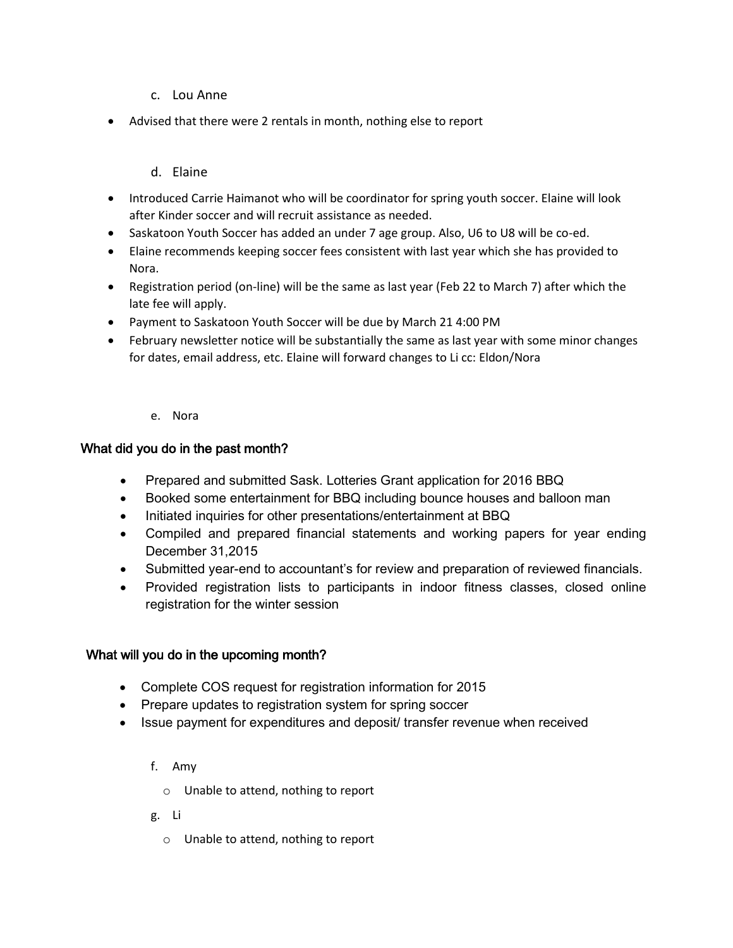# c. Lou Anne

• Advised that there were 2 rentals in month, nothing else to report

# d. Elaine

- Introduced Carrie Haimanot who will be coordinator for spring youth soccer. Elaine will look after Kinder soccer and will recruit assistance as needed.
- Saskatoon Youth Soccer has added an under 7 age group. Also, U6 to U8 will be co-ed.
- Elaine recommends keeping soccer fees consistent with last year which she has provided to Nora.
- Registration period (on-line) will be the same as last year (Feb 22 to March 7) after which the late fee will apply.
- Payment to Saskatoon Youth Soccer will be due by March 21 4:00 PM
- February newsletter notice will be substantially the same as last year with some minor changes for dates, email address, etc. Elaine will forward changes to Li cc: Eldon/Nora

#### e. Nora

# What did you do in the past month?

- Prepared and submitted Sask. Lotteries Grant application for 2016 BBQ
- Booked some entertainment for BBQ including bounce houses and balloon man
- Initiated inquiries for other presentations/entertainment at BBQ
- Compiled and prepared financial statements and working papers for year ending December 31,2015
- Submitted year-end to accountant's for review and preparation of reviewed financials.
- Provided registration lists to participants in indoor fitness classes, closed online registration for the winter session

# What will you do in the upcoming month?

- Complete COS request for registration information for 2015
- Prepare updates to registration system for spring soccer
- Issue payment for expenditures and deposit/ transfer revenue when received

# f. Amy

- o Unable to attend, nothing to report
- g. Li
	- o Unable to attend, nothing to report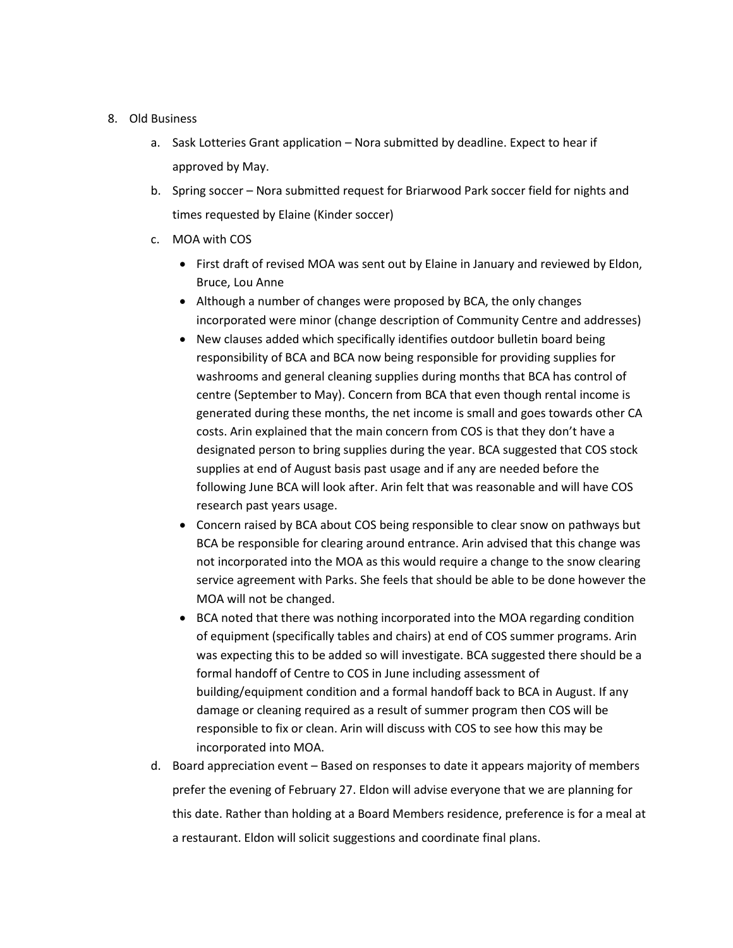#### 8. Old Business

- a. Sask Lotteries Grant application Nora submitted by deadline. Expect to hear if approved by May.
- b. Spring soccer Nora submitted request for Briarwood Park soccer field for nights and times requested by Elaine (Kinder soccer)
- c. MOA with COS
	- First draft of revised MOA was sent out by Elaine in January and reviewed by Eldon, Bruce, Lou Anne
	- Although a number of changes were proposed by BCA, the only changes incorporated were minor (change description of Community Centre and addresses)
	- New clauses added which specifically identifies outdoor bulletin board being responsibility of BCA and BCA now being responsible for providing supplies for washrooms and general cleaning supplies during months that BCA has control of centre (September to May). Concern from BCA that even though rental income is generated during these months, the net income is small and goes towards other CA costs. Arin explained that the main concern from COS is that they don't have a designated person to bring supplies during the year. BCA suggested that COS stock supplies at end of August basis past usage and if any are needed before the following June BCA will look after. Arin felt that was reasonable and will have COS research past years usage.
	- Concern raised by BCA about COS being responsible to clear snow on pathways but BCA be responsible for clearing around entrance. Arin advised that this change was not incorporated into the MOA as this would require a change to the snow clearing service agreement with Parks. She feels that should be able to be done however the MOA will not be changed.
	- BCA noted that there was nothing incorporated into the MOA regarding condition of equipment (specifically tables and chairs) at end of COS summer programs. Arin was expecting this to be added so will investigate. BCA suggested there should be a formal handoff of Centre to COS in June including assessment of building/equipment condition and a formal handoff back to BCA in August. If any damage or cleaning required as a result of summer program then COS will be responsible to fix or clean. Arin will discuss with COS to see how this may be incorporated into MOA.
- d. Board appreciation event Based on responses to date it appears majority of members prefer the evening of February 27. Eldon will advise everyone that we are planning for this date. Rather than holding at a Board Members residence, preference is for a meal at a restaurant. Eldon will solicit suggestions and coordinate final plans.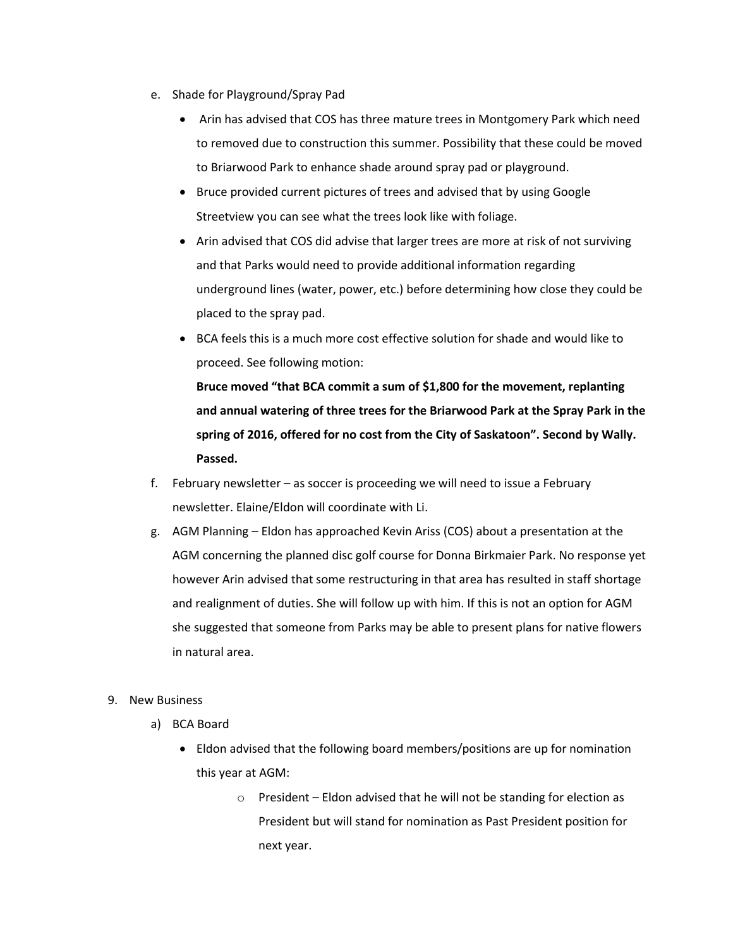- e. Shade for Playground/Spray Pad
	- Arin has advised that COS has three mature trees in Montgomery Park which need to removed due to construction this summer. Possibility that these could be moved to Briarwood Park to enhance shade around spray pad or playground.
	- Bruce provided current pictures of trees and advised that by using Google Streetview you can see what the trees look like with foliage.
	- Arin advised that COS did advise that larger trees are more at risk of not surviving and that Parks would need to provide additional information regarding underground lines (water, power, etc.) before determining how close they could be placed to the spray pad.
	- BCA feels this is a much more cost effective solution for shade and would like to proceed. See following motion:

**Bruce moved "that BCA commit a sum of \$1,800 for the movement, replanting and annual watering of three trees for the Briarwood Park at the Spray Park in the spring of 2016, offered for no cost from the City of Saskatoon". Second by Wally. Passed.**

- f. February newsletter as soccer is proceeding we will need to issue a February newsletter. Elaine/Eldon will coordinate with Li.
- g. AGM Planning Eldon has approached Kevin Ariss (COS) about a presentation at the AGM concerning the planned disc golf course for Donna Birkmaier Park. No response yet however Arin advised that some restructuring in that area has resulted in staff shortage and realignment of duties. She will follow up with him. If this is not an option for AGM she suggested that someone from Parks may be able to present plans for native flowers in natural area.

#### 9. New Business

- a) BCA Board
	- Eldon advised that the following board members/positions are up for nomination this year at AGM:
		- o President Eldon advised that he will not be standing for election as President but will stand for nomination as Past President position for next year.